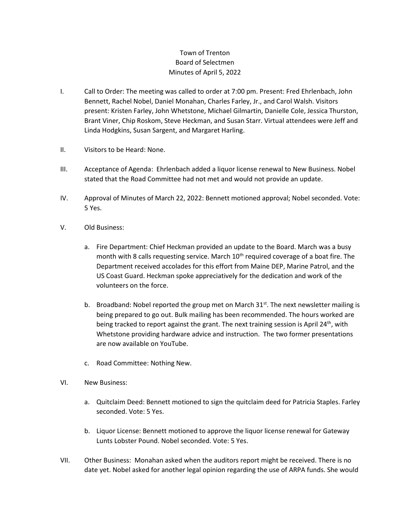## Town of Trenton Board of Selectmen Minutes of April 5, 2022

- I. Call to Order: The meeting was called to order at 7:00 pm. Present: Fred Ehrlenbach, John Bennett, Rachel Nobel, Daniel Monahan, Charles Farley, Jr., and Carol Walsh. Visitors present: Kristen Farley, John Whetstone, Michael Gilmartin, Danielle Cole, Jessica Thurston, Brant Viner, Chip Roskom, Steve Heckman, and Susan Starr. Virtual attendees were Jeff and Linda Hodgkins, Susan Sargent, and Margaret Harling.
- II. Visitors to be Heard: None.
- III. Acceptance of Agenda: Ehrlenbach added a liquor license renewal to New Business. Nobel stated that the Road Committee had not met and would not provide an update.
- IV. Approval of Minutes of March 22, 2022: Bennett motioned approval; Nobel seconded. Vote: 5 Yes.
- V. Old Business:
	- a. Fire Department: Chief Heckman provided an update to the Board. March was a busy month with 8 calls requesting service. March  $10<sup>th</sup>$  required coverage of a boat fire. The Department received accolades for this effort from Maine DEP, Marine Patrol, and the US Coast Guard. Heckman spoke appreciatively for the dedication and work of the volunteers on the force.
	- b. Broadband: Nobel reported the group met on March  $31^{st}$ . The next newsletter mailing is being prepared to go out. Bulk mailing has been recommended. The hours worked are being tracked to report against the grant. The next training session is April  $24^{th}$ , with Whetstone providing hardware advice and instruction. The two former presentations are now available on YouTube.
	- c. Road Committee: Nothing New.
- VI. New Business:
	- a. Quitclaim Deed: Bennett motioned to sign the quitclaim deed for Patricia Staples. Farley seconded. Vote: 5 Yes.
	- b. Liquor License: Bennett motioned to approve the liquor license renewal for Gateway Lunts Lobster Pound. Nobel seconded. Vote: 5 Yes.
- VII. Other Business: Monahan asked when the auditors report might be received. There is no date yet. Nobel asked for another legal opinion regarding the use of ARPA funds. She would